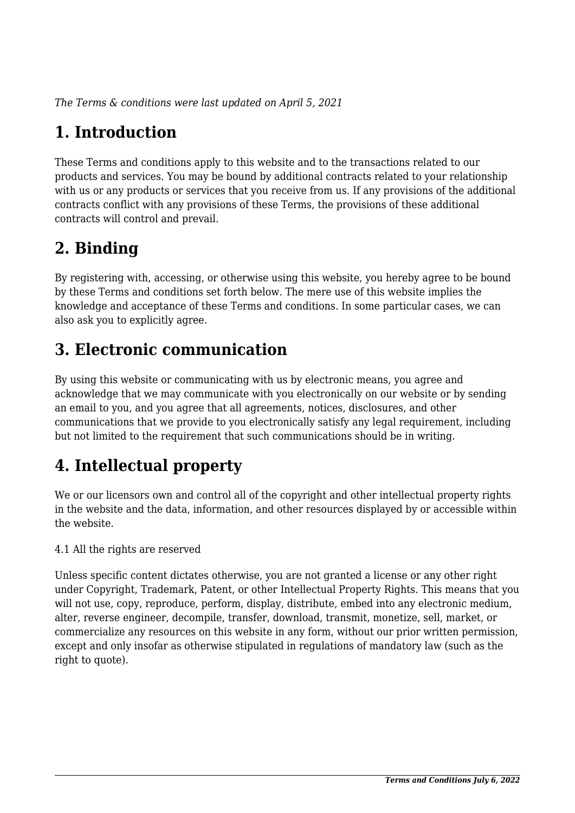*The Terms & conditions were last updated on April 5, 2021*

# **1. Introduction**

These Terms and conditions apply to this website and to the transactions related to our products and services. You may be bound by additional contracts related to your relationship with us or any products or services that you receive from us. If any provisions of the additional contracts conflict with any provisions of these Terms, the provisions of these additional contracts will control and prevail.

# **2. Binding**

By registering with, accessing, or otherwise using this website, you hereby agree to be bound by these Terms and conditions set forth below. The mere use of this website implies the knowledge and acceptance of these Terms and conditions. In some particular cases, we can also ask you to explicitly agree.

# **3. Electronic communication**

By using this website or communicating with us by electronic means, you agree and acknowledge that we may communicate with you electronically on our website or by sending an email to you, and you agree that all agreements, notices, disclosures, and other communications that we provide to you electronically satisfy any legal requirement, including but not limited to the requirement that such communications should be in writing.

# **4. Intellectual property**

We or our licensors own and control all of the copyright and other intellectual property rights in the website and the data, information, and other resources displayed by or accessible within the website.

4.1 All the rights are reserved

Unless specific content dictates otherwise, you are not granted a license or any other right under Copyright, Trademark, Patent, or other Intellectual Property Rights. This means that you will not use, copy, reproduce, perform, display, distribute, embed into any electronic medium, alter, reverse engineer, decompile, transfer, download, transmit, monetize, sell, market, or commercialize any resources on this website in any form, without our prior written permission, except and only insofar as otherwise stipulated in regulations of mandatory law (such as the right to quote).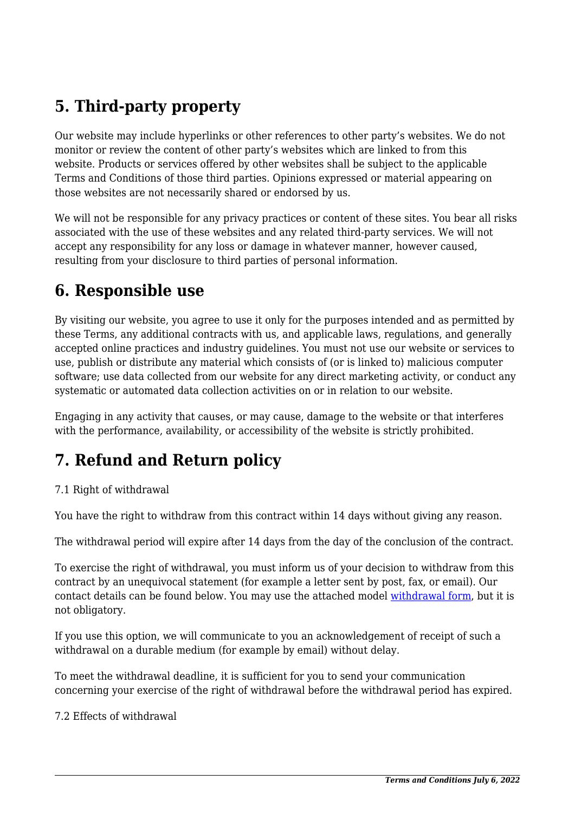# **5. Third-party property**

Our website may include hyperlinks or other references to other party's websites. We do not monitor or review the content of other party's websites which are linked to from this website. Products or services offered by other websites shall be subject to the applicable Terms and Conditions of those third parties. Opinions expressed or material appearing on those websites are not necessarily shared or endorsed by us.

We will not be responsible for any privacy practices or content of these sites. You bear all risks associated with the use of these websites and any related third-party services. We will not accept any responsibility for any loss or damage in whatever manner, however caused, resulting from your disclosure to third parties of personal information.

### **6. Responsible use**

By visiting our website, you agree to use it only for the purposes intended and as permitted by these Terms, any additional contracts with us, and applicable laws, regulations, and generally accepted online practices and industry guidelines. You must not use our website or services to use, publish or distribute any material which consists of (or is linked to) malicious computer software; use data collected from our website for any direct marketing activity, or conduct any systematic or automated data collection activities on or in relation to our website.

Engaging in any activity that causes, or may cause, damage to the website or that interferes with the performance, availability, or accessibility of the website is strictly prohibited.

# **7. Refund and Return policy**

#### 7.1 Right of withdrawal

You have the right to withdraw from this contract within 14 days without giving any reason.

The withdrawal period will expire after 14 days from the day of the conclusion of the contract.

To exercise the right of withdrawal, you must inform us of your decision to withdraw from this contract by an unequivocal statement (for example a letter sent by post, fax, or email). Our contact details can be found below. You may use the attached model [withdrawal form](https://domymath.org/wp-content/uploads/complianz/withdrawal-forms/withdrawal-form-en.pdf), but it is not obligatory.

If you use this option, we will communicate to you an acknowledgement of receipt of such a withdrawal on a durable medium (for example by email) without delay.

To meet the withdrawal deadline, it is sufficient for you to send your communication concerning your exercise of the right of withdrawal before the withdrawal period has expired.

7.2 Effects of withdrawal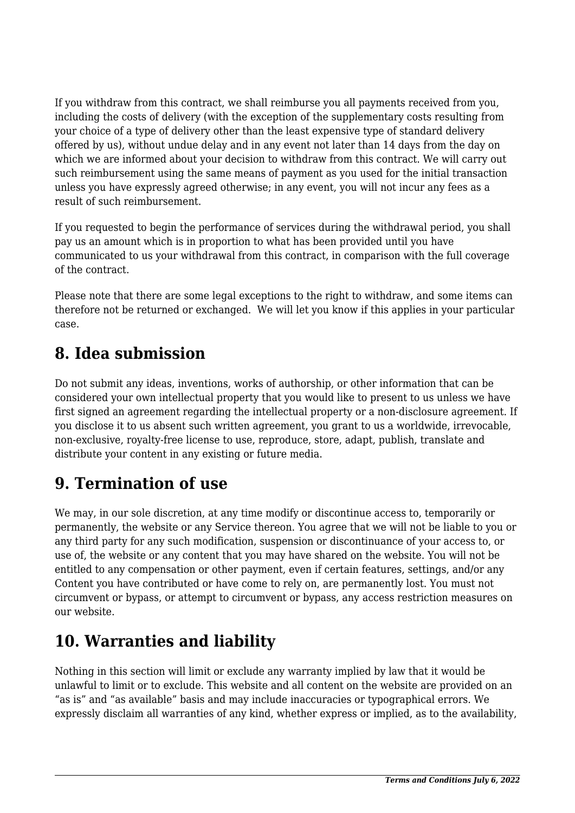If you withdraw from this contract, we shall reimburse you all payments received from you, including the costs of delivery (with the exception of the supplementary costs resulting from your choice of a type of delivery other than the least expensive type of standard delivery offered by us), without undue delay and in any event not later than 14 days from the day on which we are informed about your decision to withdraw from this contract. We will carry out such reimbursement using the same means of payment as you used for the initial transaction unless you have expressly agreed otherwise; in any event, you will not incur any fees as a result of such reimbursement.

If you requested to begin the performance of services during the withdrawal period, you shall pay us an amount which is in proportion to what has been provided until you have communicated to us your withdrawal from this contract, in comparison with the full coverage of the contract.

Please note that there are some legal exceptions to the right to withdraw, and some items can therefore not be returned or exchanged. We will let you know if this applies in your particular case.

## **8. Idea submission**

Do not submit any ideas, inventions, works of authorship, or other information that can be considered your own intellectual property that you would like to present to us unless we have first signed an agreement regarding the intellectual property or a non-disclosure agreement. If you disclose it to us absent such written agreement, you grant to us a worldwide, irrevocable, non-exclusive, royalty-free license to use, reproduce, store, adapt, publish, translate and distribute your content in any existing or future media.

# **9. Termination of use**

We may, in our sole discretion, at any time modify or discontinue access to, temporarily or permanently, the website or any Service thereon. You agree that we will not be liable to you or any third party for any such modification, suspension or discontinuance of your access to, or use of, the website or any content that you may have shared on the website. You will not be entitled to any compensation or other payment, even if certain features, settings, and/or any Content you have contributed or have come to rely on, are permanently lost. You must not circumvent or bypass, or attempt to circumvent or bypass, any access restriction measures on our website.

# **10. Warranties and liability**

Nothing in this section will limit or exclude any warranty implied by law that it would be unlawful to limit or to exclude. This website and all content on the website are provided on an "as is" and "as available" basis and may include inaccuracies or typographical errors. We expressly disclaim all warranties of any kind, whether express or implied, as to the availability,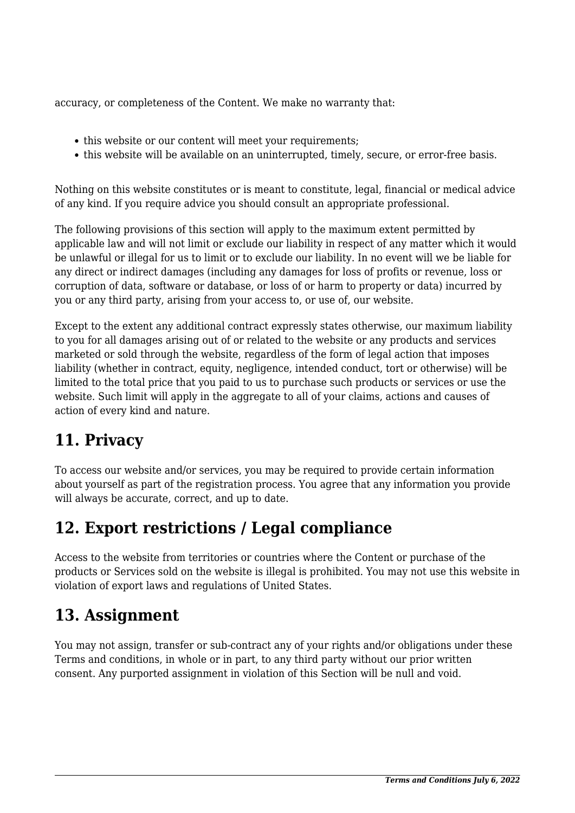accuracy, or completeness of the Content. We make no warranty that:

- this website or our content will meet your requirements:
- this website will be available on an uninterrupted, timely, secure, or error-free basis.

Nothing on this website constitutes or is meant to constitute, legal, financial or medical advice of any kind. If you require advice you should consult an appropriate professional.

The following provisions of this section will apply to the maximum extent permitted by applicable law and will not limit or exclude our liability in respect of any matter which it would be unlawful or illegal for us to limit or to exclude our liability. In no event will we be liable for any direct or indirect damages (including any damages for loss of profits or revenue, loss or corruption of data, software or database, or loss of or harm to property or data) incurred by you or any third party, arising from your access to, or use of, our website.

Except to the extent any additional contract expressly states otherwise, our maximum liability to you for all damages arising out of or related to the website or any products and services marketed or sold through the website, regardless of the form of legal action that imposes liability (whether in contract, equity, negligence, intended conduct, tort or otherwise) will be limited to the total price that you paid to us to purchase such products or services or use the website. Such limit will apply in the aggregate to all of your claims, actions and causes of action of every kind and nature.

## **11. Privacy**

To access our website and/or services, you may be required to provide certain information about yourself as part of the registration process. You agree that any information you provide will always be accurate, correct, and up to date.

### **12. Export restrictions / Legal compliance**

Access to the website from territories or countries where the Content or purchase of the products or Services sold on the website is illegal is prohibited. You may not use this website in violation of export laws and regulations of United States.

### **13. Assignment**

You may not assign, transfer or sub-contract any of your rights and/or obligations under these Terms and conditions, in whole or in part, to any third party without our prior written consent. Any purported assignment in violation of this Section will be null and void.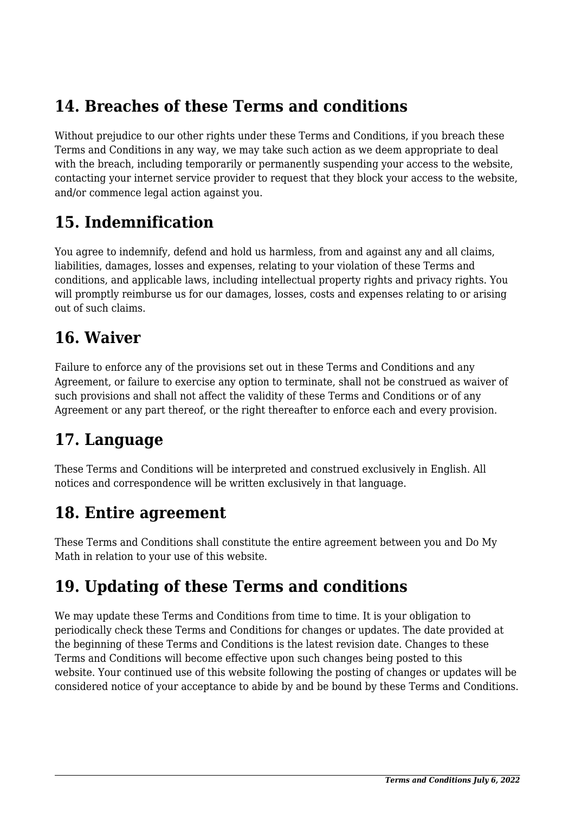## **14. Breaches of these Terms and conditions**

Without prejudice to our other rights under these Terms and Conditions, if you breach these Terms and Conditions in any way, we may take such action as we deem appropriate to deal with the breach, including temporarily or permanently suspending your access to the website, contacting your internet service provider to request that they block your access to the website, and/or commence legal action against you.

## **15. Indemnification**

You agree to indemnify, defend and hold us harmless, from and against any and all claims, liabilities, damages, losses and expenses, relating to your violation of these Terms and conditions, and applicable laws, including intellectual property rights and privacy rights. You will promptly reimburse us for our damages, losses, costs and expenses relating to or arising out of such claims.

## **16. Waiver**

Failure to enforce any of the provisions set out in these Terms and Conditions and any Agreement, or failure to exercise any option to terminate, shall not be construed as waiver of such provisions and shall not affect the validity of these Terms and Conditions or of any Agreement or any part thereof, or the right thereafter to enforce each and every provision.

## **17. Language**

These Terms and Conditions will be interpreted and construed exclusively in English. All notices and correspondence will be written exclusively in that language.

## **18. Entire agreement**

These Terms and Conditions shall constitute the entire agreement between you and Do My Math in relation to your use of this website.

## **19. Updating of these Terms and conditions**

We may update these Terms and Conditions from time to time. It is your obligation to periodically check these Terms and Conditions for changes or updates. The date provided at the beginning of these Terms and Conditions is the latest revision date. Changes to these Terms and Conditions will become effective upon such changes being posted to this website. Your continued use of this website following the posting of changes or updates will be considered notice of your acceptance to abide by and be bound by these Terms and Conditions.